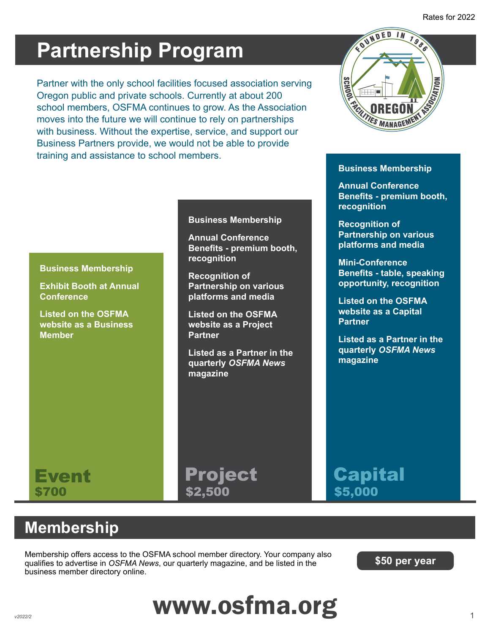# **Partnership Program**

Partner with the only school facilities focused association serving Oregon public and private schools. Currently at about 200 school members, OSFMA continues to grow. As the Association moves into the future we will continue to rely on partnerships with business. Without the expertise, service, and support our Business Partners provide, we would not be able to provide training and assistance to school members.



#### **Business Membership**

**Annual Conference Benefits - premium booth, recognition**

**Recognition of Partnership on various platforms and media**

**Mini-Conference Benefits - table, speaking opportunity, recognition**

**Listed on the OSFMA website as a Capital Partner**

**Listed as a Partner in the quarterly** *OSFMA News* **magazine**

#### **Business Membership**

**Exhibit Booth at Annual Conference**

**Listed on the OSFMA website as a Business Member**

#### **Business Membership**

**Annual Conference Benefits - premium booth, recognition**

**Recognition of Partnership on various platforms and media**

**Listed on the OSFMA website as a Project Partner**

**Listed as a Partner in the quarterly** *OSFMA News* **magazine**

#### Event Project Capital  $$700$   $$2,500$   $$5,000$ \$2,500

### **Membership**

Membership offers access to the OSFMA school member directory. Your company also qualifies to advertise in *OSFMA News*, our quarterly magazine, and be listed in the business member directory online.

**\$50 per year**

# www.osfma.org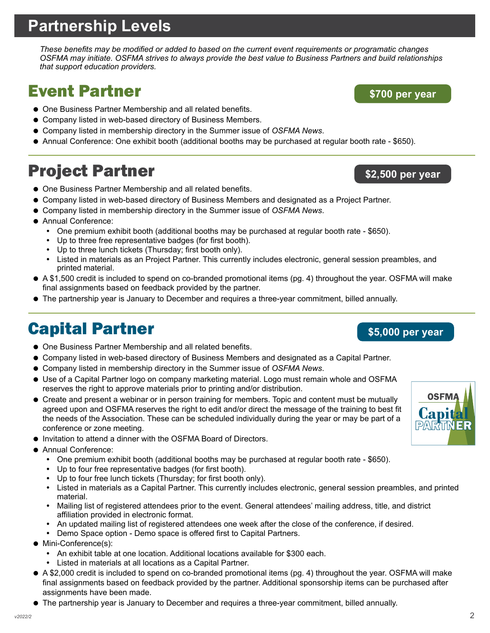## **Partnership Levels**

*These benefits may be modified or added to based on the current event requirements or programatic changes OSFMA may initiate. OSFMA strives to always provide the best value to Business Partners and build relationships that support education providers.*

## Event Partner

- One Business Partner Membership and all related benefits.
- Company listed in web-based directory of Business Members.
- Company listed in membership directory in the Summer issue of *OSFMA News*.
- Annual Conference: One exhibit booth (additional booths may be purchased at regular booth rate \$650).

## Project Partner

- One Business Partner Membership and all related benefits.
- Company listed in web-based directory of Business Members and designated as a Project Partner.
- Company listed in membership directory in the Summer issue of *OSFMA News*.
- Annual Conference:
	- One premium exhibit booth (additional booths may be purchased at regular booth rate \$650).
	- Up to three free representative badges (for first booth).
	- Up to three lunch tickets (Thursday; first booth only).
	- Listed in materials as an Project Partner. This currently includes electronic, general session preambles, and printed material.
- A \$1,500 credit is included to spend on co-branded promotional items (pg. 4) throughout the year. OSFMA will make final assignments based on feedback provided by the partner.
- The partnership year is January to December and requires a three-year commitment, billed annually.

## Capital Partner

- $\bullet$  One Business Partner Membership and all related benefits.
- Company listed in web-based directory of Business Members and designated as a Capital Partner.
- Company listed in membership directory in the Summer issue of *OSFMA News*.
- Use of a Capital Partner logo on company marketing material. Logo must remain whole and OSFMA reserves the right to approve materials prior to printing and/or distribution.
- Create and present a webinar or in person training for members. Topic and content must be mutually agreed upon and OSFMA reserves the right to edit and/or direct the message of the training to best fit the needs of the Association. These can be scheduled individually during the year or may be part of a conference or zone meeting.
- Invitation to attend a dinner with the OSFMA Board of Directors.
- **Annual Conference:** 
	- One premium exhibit booth (additional booths may be purchased at regular booth rate \$650).
	- Up to four free representative badges (for first booth).
	- Up to four free lunch tickets (Thursday; for first booth only).
	- Listed in materials as a Capital Partner. This currently includes electronic, general session preambles, and printed material.
	- Mailing list of registered attendees prior to the event. General attendees' mailing address, title, and district affiliation provided in electronic format.
	- An updated mailing list of registered attendees one week after the close of the conference, if desired.
	- Demo Space option Demo space is offered first to Capital Partners.
- Mini-Conference(s):
	- An exhibit table at one location. Additional locations available for \$300 each.
	- Listed in materials at all locations as a Capital Partner.
- A \$2,000 credit is included to spend on co-branded promotional items (pg. 4) throughout the year. OSFMA will make final assignments based on feedback provided by the partner. Additional sponsorship items can be purchased after assignments have been made.
- The partnership year is January to December and requires a three-year commitment, billed annually.

**\$700 per year**

**\$2,500 per year**

**\$5,000 per year**

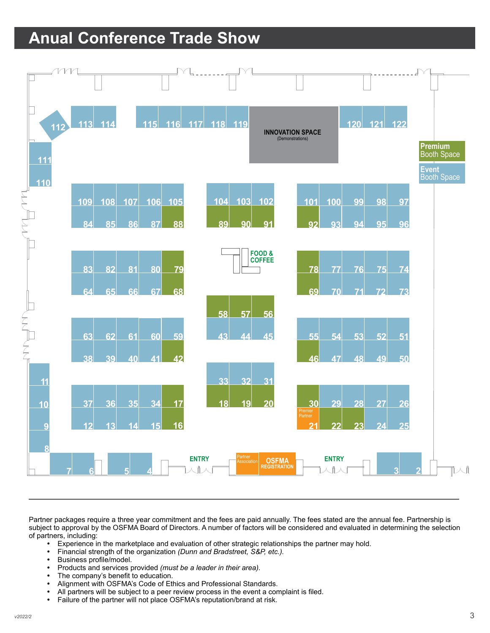## **Anual Conference Trade Show**



Partner packages require a three year commitment and the fees are paid annually. The fees stated are the annual fee. Partnership is subject to approval by the OSFMA Board of Directors. A number of factors will be considered and evaluated in determining the selection of partners, including:

- Experience in the marketplace and evaluation of other strategic relationships the partner may hold.
- y Financial strength of the organization *(Dunn and Bradstreet, S&P, etc.).*
- Business profile/model.
- Products and services provided *(must be a leader in their area)*.
- The company's benefit to education.
- Alignment with OSFMA's Code of Ethics and Professional Standards.
- All partners will be subject to a peer review process in the event a complaint is filed.
- Failure of the partner will not place OSFMA's reputation/brand at risk.